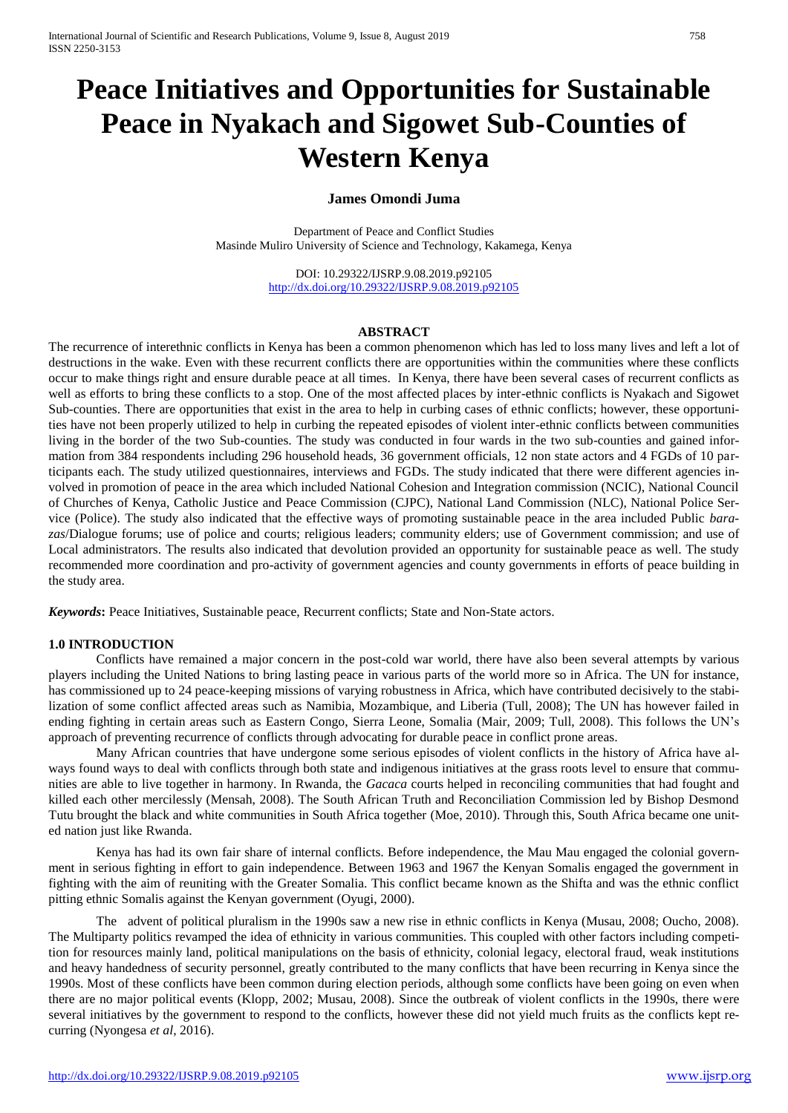# **Peace Initiatives and Opportunities for Sustainable Peace in Nyakach and Sigowet Sub-Counties of Western Kenya**

## **James Omondi Juma**

Department of Peace and Conflict Studies Masinde Muliro University of Science and Technology, Kakamega, Kenya

> DOI: 10.29322/IJSRP.9.08.2019.p92105 <http://dx.doi.org/10.29322/IJSRP.9.08.2019.p92105>

#### **ABSTRACT**

The recurrence of interethnic conflicts in Kenya has been a common phenomenon which has led to loss many lives and left a lot of destructions in the wake. Even with these recurrent conflicts there are opportunities within the communities where these conflicts occur to make things right and ensure durable peace at all times. In Kenya, there have been several cases of recurrent conflicts as well as efforts to bring these conflicts to a stop. One of the most affected places by inter-ethnic conflicts is Nyakach and Sigowet Sub-counties. There are opportunities that exist in the area to help in curbing cases of ethnic conflicts; however, these opportunities have not been properly utilized to help in curbing the repeated episodes of violent inter-ethnic conflicts between communities living in the border of the two Sub-counties. The study was conducted in four wards in the two sub-counties and gained information from 384 respondents including 296 household heads, 36 government officials, 12 non state actors and 4 FGDs of 10 participants each. The study utilized questionnaires, interviews and FGDs. The study indicated that there were different agencies involved in promotion of peace in the area which included National Cohesion and Integration commission (NCIC), National Council of Churches of Kenya, Catholic Justice and Peace Commission (CJPC), National Land Commission (NLC), National Police Service (Police). The study also indicated that the effective ways of promoting sustainable peace in the area included Public *barazas*/Dialogue forums; use of police and courts; religious leaders; community elders; use of Government commission; and use of Local administrators. The results also indicated that devolution provided an opportunity for sustainable peace as well. The study recommended more coordination and pro-activity of government agencies and county governments in efforts of peace building in the study area.

*Keywords***:** Peace Initiatives, Sustainable peace, Recurrent conflicts; State and Non-State actors.

#### **1.0 INTRODUCTION**

Conflicts have remained a major concern in the post-cold war world, there have also been several attempts by various players including the United Nations to bring lasting peace in various parts of the world more so in Africa. The UN for instance, has commissioned up to 24 peace-keeping missions of varying robustness in Africa, which have contributed decisively to the stabilization of some conflict affected areas such as Namibia, Mozambique, and Liberia (Tull, 2008); The UN has however failed in ending fighting in certain areas such as Eastern Congo, Sierra Leone, Somalia (Mair, 2009; Tull, 2008). This follows the UN's approach of preventing recurrence of conflicts through advocating for durable peace in conflict prone areas.

Many African countries that have undergone some serious episodes of violent conflicts in the history of Africa have always found ways to deal with conflicts through both state and indigenous initiatives at the grass roots level to ensure that communities are able to live together in harmony. In Rwanda, the *Gacaca* courts helped in reconciling communities that had fought and killed each other mercilessly (Mensah, 2008). The South African Truth and Reconciliation Commission led by Bishop Desmond Tutu brought the black and white communities in South Africa together (Moe, 2010). Through this, South Africa became one united nation just like Rwanda.

Kenya has had its own fair share of internal conflicts. Before independence, the Mau Mau engaged the colonial government in serious fighting in effort to gain independence. Between 1963 and 1967 the Kenyan Somalis engaged the government in fighting with the aim of reuniting with the Greater Somalia. This conflict became known as the Shifta and was the ethnic conflict pitting ethnic Somalis against the Kenyan government (Oyugi, 2000).

The advent of political pluralism in the 1990s saw a new rise in ethnic conflicts in Kenya (Musau, 2008; Oucho, 2008). The Multiparty politics revamped the idea of ethnicity in various communities. This coupled with other factors including competition for resources mainly land, political manipulations on the basis of ethnicity, colonial legacy, electoral fraud, weak institutions and heavy handedness of security personnel, greatly contributed to the many conflicts that have been recurring in Kenya since the 1990s. Most of these conflicts have been common during election periods, although some conflicts have been going on even when there are no major political events (Klopp, 2002; Musau, 2008). Since the outbreak of violent conflicts in the 1990s, there were several initiatives by the government to respond to the conflicts, however these did not yield much fruits as the conflicts kept recurring (Nyongesa *et al*, 2016).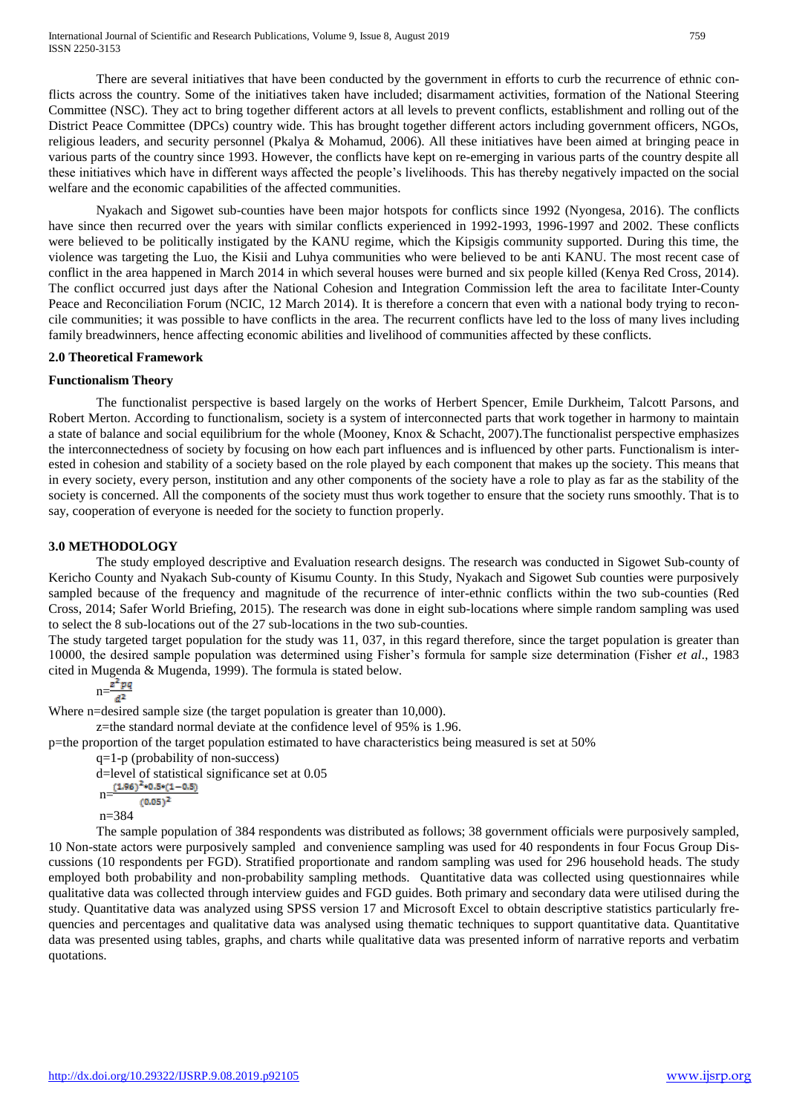There are several initiatives that have been conducted by the government in efforts to curb the recurrence of ethnic conflicts across the country. Some of the initiatives taken have included; disarmament activities, formation of the National Steering Committee (NSC). They act to bring together different actors at all levels to prevent conflicts, establishment and rolling out of the District Peace Committee (DPCs) country wide. This has brought together different actors including government officers, NGOs, religious leaders, and security personnel (Pkalya & Mohamud, 2006). All these initiatives have been aimed at bringing peace in various parts of the country since 1993. However, the conflicts have kept on re-emerging in various parts of the country despite all these initiatives which have in different ways affected the people's livelihoods. This has thereby negatively impacted on the social welfare and the economic capabilities of the affected communities.

Nyakach and Sigowet sub-counties have been major hotspots for conflicts since 1992 (Nyongesa, 2016). The conflicts have since then recurred over the years with similar conflicts experienced in 1992-1993, 1996-1997 and 2002. These conflicts were believed to be politically instigated by the KANU regime, which the Kipsigis community supported. During this time, the violence was targeting the Luo, the Kisii and Luhya communities who were believed to be anti KANU. The most recent case of conflict in the area happened in March 2014 in which several houses were burned and six people killed (Kenya Red Cross, 2014). The conflict occurred just days after the National Cohesion and Integration Commission left the area to facilitate Inter-County Peace and Reconciliation Forum (NCIC, 12 March 2014). It is therefore a concern that even with a national body trying to reconcile communities; it was possible to have conflicts in the area. The recurrent conflicts have led to the loss of many lives including family breadwinners, hence affecting economic abilities and livelihood of communities affected by these conflicts.

## **2.0 Theoretical Framework**

#### **Functionalism Theory**

The functionalist perspective is based largely on the works of Herbert Spencer, Emile Durkheim, Talcott Parsons, and Robert Merton. According to functionalism, society is a system of interconnected parts that work together in harmony to maintain a state of balance and social equilibrium for the whole (Mooney, Knox & Schacht, 2007).The functionalist perspective emphasizes the interconnectedness of society by focusing on how each part influences and is influenced by other parts. Functionalism is interested in cohesion and stability of a society based on the role played by each component that makes up the society. This means that in every society, every person, institution and any other components of the society have a role to play as far as the stability of the society is concerned. All the components of the society must thus work together to ensure that the society runs smoothly. That is to say, cooperation of everyone is needed for the society to function properly.

#### **3.0 METHODOLOGY**

The study employed descriptive and Evaluation research designs. The research was conducted in Sigowet Sub-county of Kericho County and Nyakach Sub-county of Kisumu County. In this Study, Nyakach and Sigowet Sub counties were purposively sampled because of the frequency and magnitude of the recurrence of inter-ethnic conflicts within the two sub-counties (Red Cross, 2014; Safer World Briefing, 2015). The research was done in eight sub-locations where simple random sampling was used to select the 8 sub-locations out of the 27 sub-locations in the two sub-counties.

The study targeted target population for the study was 11, 037, in this regard therefore, since the target population is greater than 10000, the desired sample population was determined using Fisher's formula for sample size determination (Fisher *et al*., 1983 cited in Mugenda & Mugenda, 1999). The formula is stated below.

$$
n=\frac{z^2pq}{d^2}
$$

Where n=desired sample size (the target population is greater than 10,000).

z=the standard normal deviate at the confidence level of 95% is 1.96.

p=the proportion of the target population estimated to have characteristics being measured is set at 50%

q=1-p (probability of non-success)

d=level of statistical significance set at 0.05  $n=\frac{(1.96)^2*0.5*(1-0.5)}{1}$  $(0.05)^2$ n=384

The sample population of 384 respondents was distributed as follows; 38 government officials were purposively sampled, 10 Non-state actors were purposively sampled and convenience sampling was used for 40 respondents in four Focus Group Discussions (10 respondents per FGD). Stratified proportionate and random sampling was used for 296 household heads. The study employed both probability and non-probability sampling methods. Quantitative data was collected using questionnaires while qualitative data was collected through interview guides and FGD guides. Both primary and secondary data were utilised during the study. Quantitative data was analyzed using SPSS version 17 and Microsoft Excel to obtain descriptive statistics particularly frequencies and percentages and qualitative data was analysed using thematic techniques to support quantitative data. Quantitative data was presented using tables, graphs, and charts while qualitative data was presented inform of narrative reports and verbatim quotations.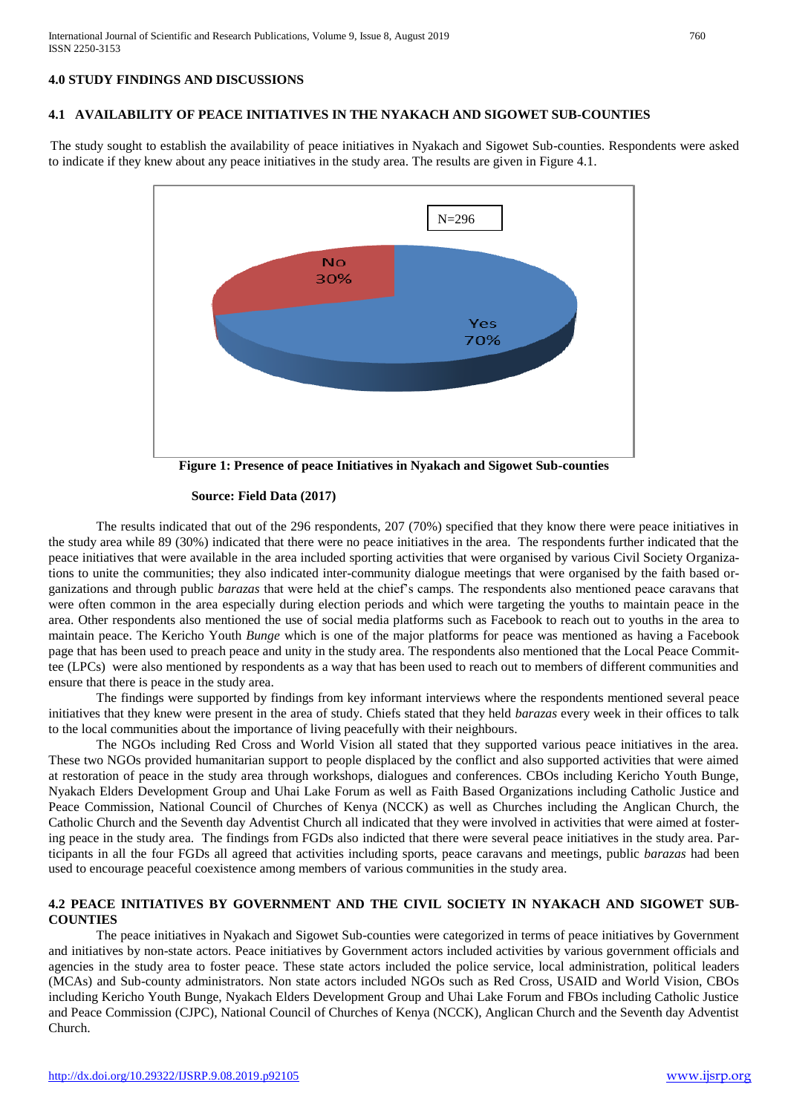# **4.0 STUDY FINDINGS AND DISCUSSIONS**

#### **4.1 AVAILABILITY OF PEACE INITIATIVES IN THE NYAKACH AND SIGOWET SUB-COUNTIES**

The study sought to establish the availability of peace initiatives in Nyakach and Sigowet Sub-counties. Respondents were asked to indicate if they knew about any peace initiatives in the study area. The results are given in Figure 4.1.



**Figure 1: Presence of peace Initiatives in Nyakach and Sigowet Sub-counties**

#### **Source: Field Data (2017)**

The results indicated that out of the 296 respondents, 207 (70%) specified that they know there were peace initiatives in the study area while 89 (30%) indicated that there were no peace initiatives in the area. The respondents further indicated that the peace initiatives that were available in the area included sporting activities that were organised by various Civil Society Organizations to unite the communities; they also indicated inter-community dialogue meetings that were organised by the faith based organizations and through public *barazas* that were held at the chief's camps. The respondents also mentioned peace caravans that were often common in the area especially during election periods and which were targeting the youths to maintain peace in the area. Other respondents also mentioned the use of social media platforms such as Facebook to reach out to youths in the area to maintain peace. The Kericho Youth *Bunge* which is one of the major platforms for peace was mentioned as having a Facebook page that has been used to preach peace and unity in the study area. The respondents also mentioned that the Local Peace Committee (LPCs) were also mentioned by respondents as a way that has been used to reach out to members of different communities and ensure that there is peace in the study area.

The findings were supported by findings from key informant interviews where the respondents mentioned several peace initiatives that they knew were present in the area of study. Chiefs stated that they held *barazas* every week in their offices to talk to the local communities about the importance of living peacefully with their neighbours.

The NGOs including Red Cross and World Vision all stated that they supported various peace initiatives in the area. These two NGOs provided humanitarian support to people displaced by the conflict and also supported activities that were aimed at restoration of peace in the study area through workshops, dialogues and conferences. CBOs including Kericho Youth Bunge, Nyakach Elders Development Group and Uhai Lake Forum as well as Faith Based Organizations including Catholic Justice and Peace Commission, National Council of Churches of Kenya (NCCK) as well as Churches including the Anglican Church, the Catholic Church and the Seventh day Adventist Church all indicated that they were involved in activities that were aimed at fostering peace in the study area. The findings from FGDs also indicted that there were several peace initiatives in the study area. Participants in all the four FGDs all agreed that activities including sports, peace caravans and meetings, public *barazas* had been used to encourage peaceful coexistence among members of various communities in the study area.

#### **4.2 PEACE INITIATIVES BY GOVERNMENT AND THE CIVIL SOCIETY IN NYAKACH AND SIGOWET SUB-COUNTIES**

The peace initiatives in Nyakach and Sigowet Sub-counties were categorized in terms of peace initiatives by Government and initiatives by non-state actors. Peace initiatives by Government actors included activities by various government officials and agencies in the study area to foster peace. These state actors included the police service, local administration, political leaders (MCAs) and Sub-county administrators. Non state actors included NGOs such as Red Cross, USAID and World Vision, CBOs including Kericho Youth Bunge, Nyakach Elders Development Group and Uhai Lake Forum and FBOs including Catholic Justice and Peace Commission (CJPC), National Council of Churches of Kenya (NCCK), Anglican Church and the Seventh day Adventist Church.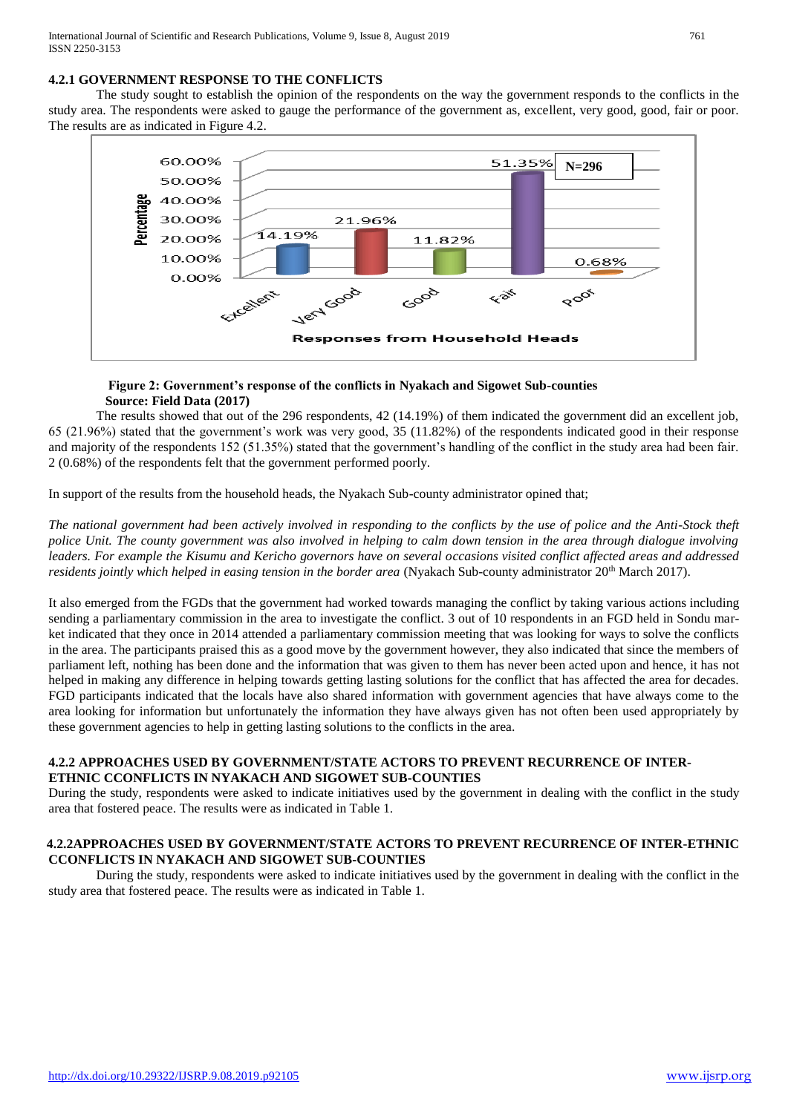# **4.2.1 GOVERNMENT RESPONSE TO THE CONFLICTS**

The study sought to establish the opinion of the respondents on the way the government responds to the conflicts in the study area. The respondents were asked to gauge the performance of the government as, excellent, very good, good, fair or poor. The results are as indicated in Figure 4.2.



## **Figure 2: Government's response of the conflicts in Nyakach and Sigowet Sub-counties Source: Field Data (2017)**

The results showed that out of the 296 respondents, 42 (14.19%) of them indicated the government did an excellent job, 65 (21.96%) stated that the government's work was very good, 35 (11.82%) of the respondents indicated good in their response and majority of the respondents 152 (51.35%) stated that the government's handling of the conflict in the study area had been fair. 2 (0.68%) of the respondents felt that the government performed poorly.

In support of the results from the household heads, the Nyakach Sub-county administrator opined that;

*The national government had been actively involved in responding to the conflicts by the use of police and the Anti-Stock theft police Unit. The county government was also involved in helping to calm down tension in the area through dialogue involving leaders. For example the Kisumu and Kericho governors have on several occasions visited conflict affected areas and addressed residents jointly which helped in easing tension in the border area* (Nyakach Sub-county administrator 20<sup>th</sup> March 2017).

It also emerged from the FGDs that the government had worked towards managing the conflict by taking various actions including sending a parliamentary commission in the area to investigate the conflict. 3 out of 10 respondents in an FGD held in Sondu market indicated that they once in 2014 attended a parliamentary commission meeting that was looking for ways to solve the conflicts in the area. The participants praised this as a good move by the government however, they also indicated that since the members of parliament left, nothing has been done and the information that was given to them has never been acted upon and hence, it has not helped in making any difference in helping towards getting lasting solutions for the conflict that has affected the area for decades. FGD participants indicated that the locals have also shared information with government agencies that have always come to the area looking for information but unfortunately the information they have always given has not often been used appropriately by these government agencies to help in getting lasting solutions to the conflicts in the area.

# **4.2.2 APPROACHES USED BY GOVERNMENT/STATE ACTORS TO PREVENT RECURRENCE OF INTER-ETHNIC CCONFLICTS IN NYAKACH AND SIGOWET SUB-COUNTIES**

During the study, respondents were asked to indicate initiatives used by the government in dealing with the conflict in the study area that fostered peace. The results were as indicated in Table 1.

# **4.2.2APPROACHES USED BY GOVERNMENT/STATE ACTORS TO PREVENT RECURRENCE OF INTER-ETHNIC CCONFLICTS IN NYAKACH AND SIGOWET SUB-COUNTIES**

During the study, respondents were asked to indicate initiatives used by the government in dealing with the conflict in the study area that fostered peace. The results were as indicated in Table 1.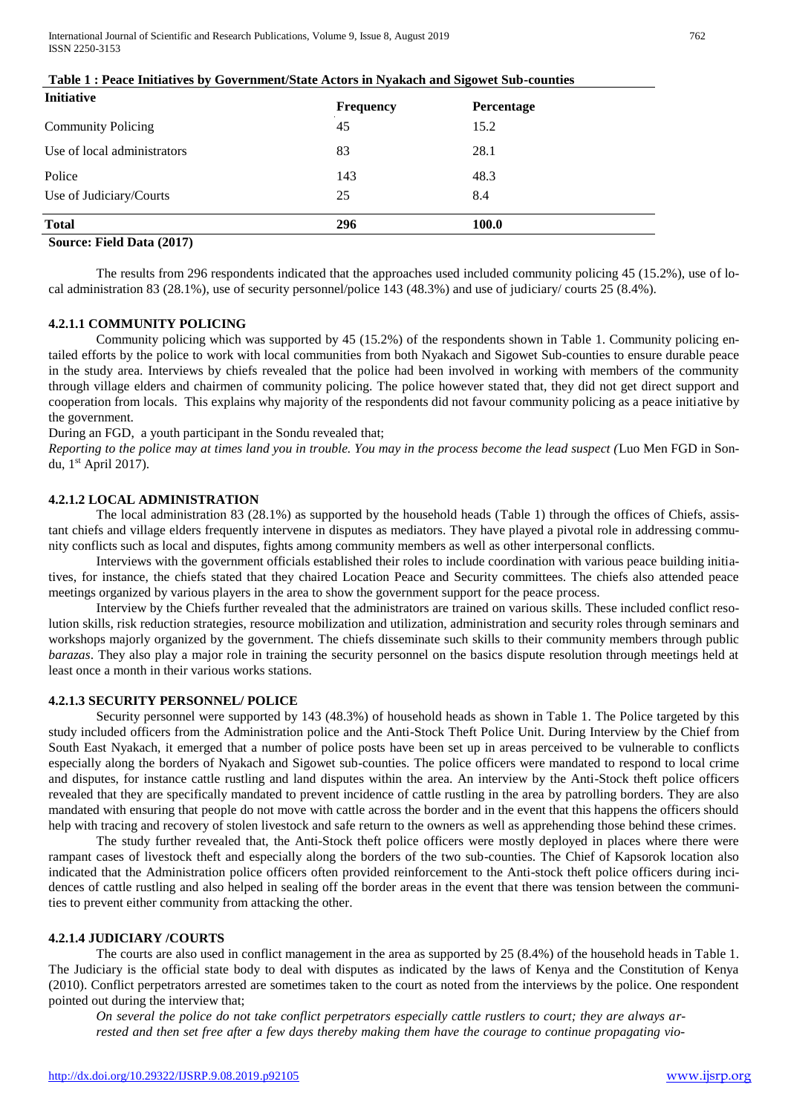| <b>Initiative</b>           | <b>Frequency</b> | Percentage |  |
|-----------------------------|------------------|------------|--|
| <b>Community Policing</b>   | 45               | 15.2       |  |
| Use of local administrators | 83               | 28.1       |  |
| Police                      | 143              | 48.3       |  |
| Use of Judiciary/Courts     | 25               | 8.4        |  |
| <b>Total</b>                | 296              | 100.0      |  |

# **Table 1 : Peace Initiatives by Government/State Actors in Nyakach and Sigowet Sub-counties**

# **Source: Field Data (2017)**

The results from 296 respondents indicated that the approaches used included community policing 45 (15.2%), use of local administration 83 (28.1%), use of security personnel/police 143 (48.3%) and use of judiciary/ courts 25 (8.4%).

## **4.2.1.1 COMMUNITY POLICING**

Community policing which was supported by 45 (15.2%) of the respondents shown in Table 1. Community policing entailed efforts by the police to work with local communities from both Nyakach and Sigowet Sub-counties to ensure durable peace in the study area. Interviews by chiefs revealed that the police had been involved in working with members of the community through village elders and chairmen of community policing. The police however stated that, they did not get direct support and cooperation from locals. This explains why majority of the respondents did not favour community policing as a peace initiative by the government.

During an FGD, a youth participant in the Sondu revealed that;

*Reporting to the police may at times land you in trouble. You may in the process become the lead suspect (*Luo Men FGD in Sondu, 1st April 2017).

# **4.2.1.2 LOCAL ADMINISTRATION**

The local administration 83 (28.1%) as supported by the household heads (Table 1) through the offices of Chiefs, assistant chiefs and village elders frequently intervene in disputes as mediators. They have played a pivotal role in addressing community conflicts such as local and disputes, fights among community members as well as other interpersonal conflicts.

Interviews with the government officials established their roles to include coordination with various peace building initiatives, for instance, the chiefs stated that they chaired Location Peace and Security committees. The chiefs also attended peace meetings organized by various players in the area to show the government support for the peace process.

Interview by the Chiefs further revealed that the administrators are trained on various skills. These included conflict resolution skills, risk reduction strategies, resource mobilization and utilization, administration and security roles through seminars and workshops majorly organized by the government. The chiefs disseminate such skills to their community members through public *barazas*. They also play a major role in training the security personnel on the basics dispute resolution through meetings held at least once a month in their various works stations.

#### **4.2.1.3 SECURITY PERSONNEL/ POLICE**

Security personnel were supported by 143 (48.3%) of household heads as shown in Table 1. The Police targeted by this study included officers from the Administration police and the Anti-Stock Theft Police Unit. During Interview by the Chief from South East Nyakach, it emerged that a number of police posts have been set up in areas perceived to be vulnerable to conflicts especially along the borders of Nyakach and Sigowet sub-counties. The police officers were mandated to respond to local crime and disputes, for instance cattle rustling and land disputes within the area. An interview by the Anti-Stock theft police officers revealed that they are specifically mandated to prevent incidence of cattle rustling in the area by patrolling borders. They are also mandated with ensuring that people do not move with cattle across the border and in the event that this happens the officers should help with tracing and recovery of stolen livestock and safe return to the owners as well as apprehending those behind these crimes.

The study further revealed that, the Anti-Stock theft police officers were mostly deployed in places where there were rampant cases of livestock theft and especially along the borders of the two sub-counties. The Chief of Kapsorok location also indicated that the Administration police officers often provided reinforcement to the Anti-stock theft police officers during incidences of cattle rustling and also helped in sealing off the border areas in the event that there was tension between the communities to prevent either community from attacking the other.

## **4.2.1.4 JUDICIARY /COURTS**

The courts are also used in conflict management in the area as supported by 25 (8.4%) of the household heads in Table 1. The Judiciary is the official state body to deal with disputes as indicated by the laws of Kenya and the Constitution of Kenya (2010). Conflict perpetrators arrested are sometimes taken to the court as noted from the interviews by the police. One respondent pointed out during the interview that;

*On several the police do not take conflict perpetrators especially cattle rustlers to court; they are always arrested and then set free after a few days thereby making them have the courage to continue propagating vio-*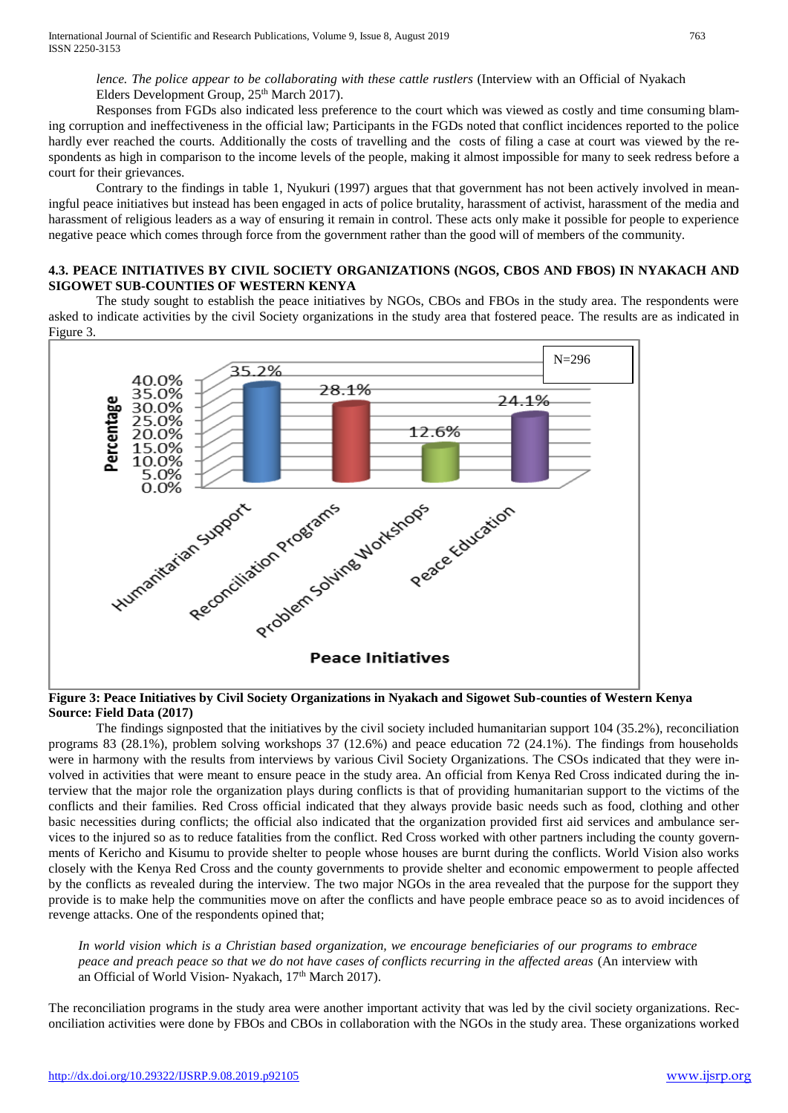*lence. The police appear to be collaborating with these cattle rustlers* (Interview with an Official of Nyakach Elders Development Group, 25<sup>th</sup> March 2017).

Responses from FGDs also indicated less preference to the court which was viewed as costly and time consuming blaming corruption and ineffectiveness in the official law; Participants in the FGDs noted that conflict incidences reported to the police hardly ever reached the courts. Additionally the costs of travelling and the costs of filing a case at court was viewed by the respondents as high in comparison to the income levels of the people, making it almost impossible for many to seek redress before a court for their grievances.

Contrary to the findings in table 1, Nyukuri (1997) argues that that government has not been actively involved in meaningful peace initiatives but instead has been engaged in acts of police brutality, harassment of activist, harassment of the media and harassment of religious leaders as a way of ensuring it remain in control. These acts only make it possible for people to experience negative peace which comes through force from the government rather than the good will of members of the community.

# **4.3. PEACE INITIATIVES BY CIVIL SOCIETY ORGANIZATIONS (NGOS, CBOS AND FBOS) IN NYAKACH AND SIGOWET SUB-COUNTIES OF WESTERN KENYA**

The study sought to establish the peace initiatives by NGOs, CBOs and FBOs in the study area. The respondents were asked to indicate activities by the civil Society organizations in the study area that fostered peace. The results are as indicated in Figure 3.



## **Figure 3: Peace Initiatives by Civil Society Organizations in Nyakach and Sigowet Sub-counties of Western Kenya Source: Field Data (2017)**

The findings signposted that the initiatives by the civil society included humanitarian support 104 (35.2%), reconciliation programs 83 (28.1%), problem solving workshops 37 (12.6%) and peace education 72 (24.1%). The findings from households were in harmony with the results from interviews by various Civil Society Organizations. The CSOs indicated that they were involved in activities that were meant to ensure peace in the study area. An official from Kenya Red Cross indicated during the interview that the major role the organization plays during conflicts is that of providing humanitarian support to the victims of the conflicts and their families. Red Cross official indicated that they always provide basic needs such as food, clothing and other basic necessities during conflicts; the official also indicated that the organization provided first aid services and ambulance services to the injured so as to reduce fatalities from the conflict. Red Cross worked with other partners including the county governments of Kericho and Kisumu to provide shelter to people whose houses are burnt during the conflicts. World Vision also works closely with the Kenya Red Cross and the county governments to provide shelter and economic empowerment to people affected by the conflicts as revealed during the interview. The two major NGOs in the area revealed that the purpose for the support they provide is to make help the communities move on after the conflicts and have people embrace peace so as to avoid incidences of revenge attacks. One of the respondents opined that;

*In world vision which is a Christian based organization, we encourage beneficiaries of our programs to embrace peace and preach peace so that we do not have cases of conflicts recurring in the affected areas* (An interview with an Official of World Vision- Nyakach, 17<sup>th</sup> March 2017).

The reconciliation programs in the study area were another important activity that was led by the civil society organizations. Reconciliation activities were done by FBOs and CBOs in collaboration with the NGOs in the study area. These organizations worked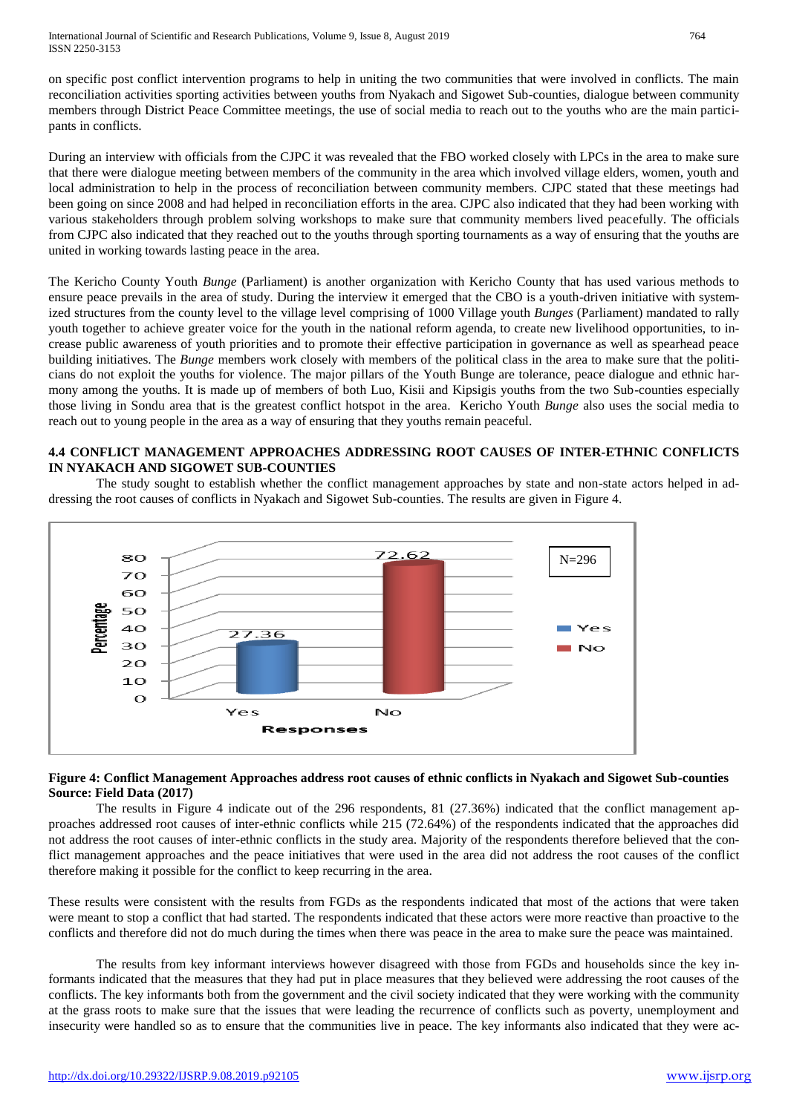on specific post conflict intervention programs to help in uniting the two communities that were involved in conflicts. The main reconciliation activities sporting activities between youths from Nyakach and Sigowet Sub-counties, dialogue between community members through District Peace Committee meetings, the use of social media to reach out to the youths who are the main participants in conflicts.

During an interview with officials from the CJPC it was revealed that the FBO worked closely with LPCs in the area to make sure that there were dialogue meeting between members of the community in the area which involved village elders, women, youth and local administration to help in the process of reconciliation between community members. CJPC stated that these meetings had been going on since 2008 and had helped in reconciliation efforts in the area. CJPC also indicated that they had been working with various stakeholders through problem solving workshops to make sure that community members lived peacefully. The officials from CJPC also indicated that they reached out to the youths through sporting tournaments as a way of ensuring that the youths are united in working towards lasting peace in the area.

The Kericho County Youth *Bunge* (Parliament) is another organization with Kericho County that has used various methods to ensure peace prevails in the area of study. During the interview it emerged that the CBO is a youth-driven initiative with systemized structures from the county level to the village level comprising of 1000 Village youth *Bunges* (Parliament) mandated to rally youth together to achieve greater voice for the youth in the national reform agenda, to create new livelihood opportunities, to increase public awareness of youth priorities and to promote their effective participation in governance as well as spearhead peace building initiatives. The *Bunge* members work closely with members of the political class in the area to make sure that the politicians do not exploit the youths for violence. The major pillars of the Youth Bunge are tolerance, peace dialogue and ethnic harmony among the youths. It is made up of members of both Luo, Kisii and Kipsigis youths from the two Sub-counties especially those living in Sondu area that is the greatest conflict hotspot in the area. Kericho Youth *Bunge* also uses the social media to reach out to young people in the area as a way of ensuring that they youths remain peaceful.

# **4.4 CONFLICT MANAGEMENT APPROACHES ADDRESSING ROOT CAUSES OF INTER-ETHNIC CONFLICTS IN NYAKACH AND SIGOWET SUB-COUNTIES**

The study sought to establish whether the conflict management approaches by state and non-state actors helped in addressing the root causes of conflicts in Nyakach and Sigowet Sub-counties. The results are given in Figure 4.



# **Figure 4: Conflict Management Approaches address root causes of ethnic conflicts in Nyakach and Sigowet Sub-counties Source: Field Data (2017)**

The results in Figure 4 indicate out of the 296 respondents, 81 (27.36%) indicated that the conflict management approaches addressed root causes of inter-ethnic conflicts while 215 (72.64%) of the respondents indicated that the approaches did not address the root causes of inter-ethnic conflicts in the study area. Majority of the respondents therefore believed that the conflict management approaches and the peace initiatives that were used in the area did not address the root causes of the conflict therefore making it possible for the conflict to keep recurring in the area.

These results were consistent with the results from FGDs as the respondents indicated that most of the actions that were taken were meant to stop a conflict that had started. The respondents indicated that these actors were more reactive than proactive to the conflicts and therefore did not do much during the times when there was peace in the area to make sure the peace was maintained.

The results from key informant interviews however disagreed with those from FGDs and households since the key informants indicated that the measures that they had put in place measures that they believed were addressing the root causes of the conflicts. The key informants both from the government and the civil society indicated that they were working with the community at the grass roots to make sure that the issues that were leading the recurrence of conflicts such as poverty, unemployment and insecurity were handled so as to ensure that the communities live in peace. The key informants also indicated that they were ac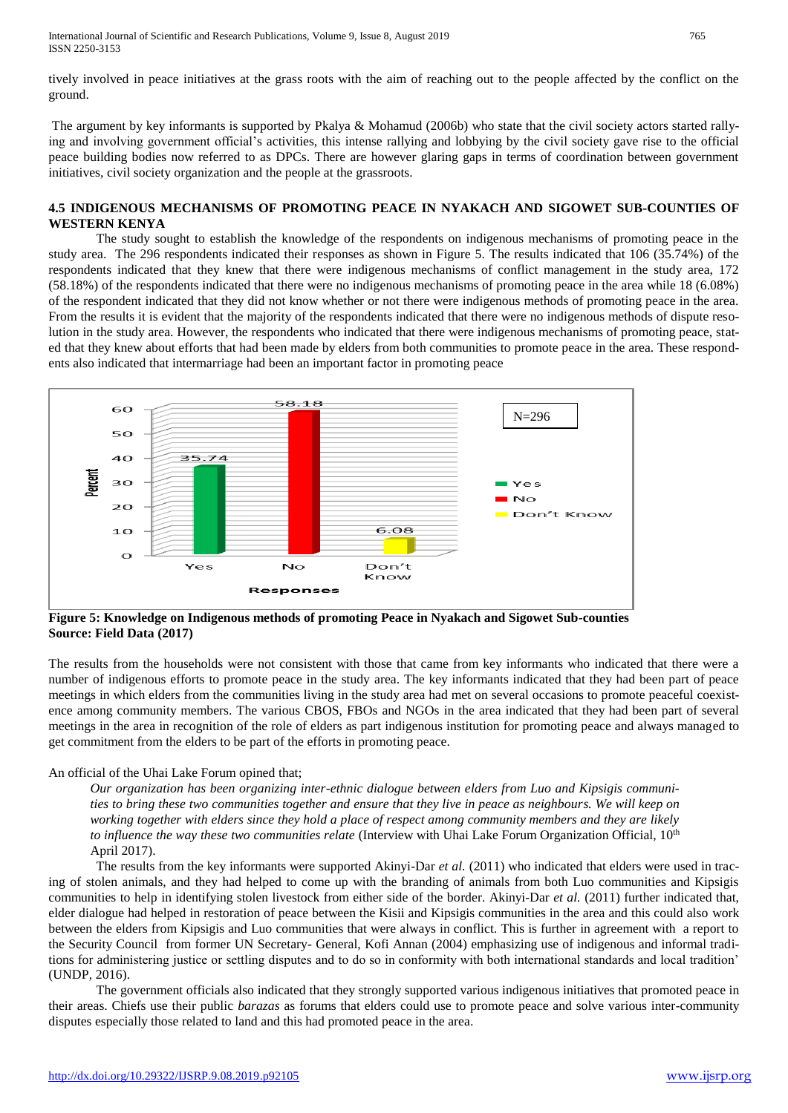International Journal of Scientific and Research Publications, Volume 9, Issue 8, August 2019 765 ISSN 2250-3153

tively involved in peace initiatives at the grass roots with the aim of reaching out to the people affected by the conflict on the ground.

The argument by key informants is supported by Pkalya & Mohamud (2006b) who state that the civil society actors started rallying and involving government official's activities, this intense rallying and lobbying by the civil society gave rise to the official peace building bodies now referred to as DPCs. There are however glaring gaps in terms of coordination between government initiatives, civil society organization and the people at the grassroots.

#### **4.5 INDIGENOUS MECHANISMS OF PROMOTING PEACE IN NYAKACH AND SIGOWET SUB-COUNTIES OF WESTERN KENYA**

The study sought to establish the knowledge of the respondents on indigenous mechanisms of promoting peace in the study area. The 296 respondents indicated their responses as shown in Figure 5. The results indicated that 106 (35.74%) of the respondents indicated that they knew that there were indigenous mechanisms of conflict management in the study area, 172 (58.18%) of the respondents indicated that there were no indigenous mechanisms of promoting peace in the area while 18 (6.08%) of the respondent indicated that they did not know whether or not there were indigenous methods of promoting peace in the area. From the results it is evident that the majority of the respondents indicated that there were no indigenous methods of dispute resolution in the study area. However, the respondents who indicated that there were indigenous mechanisms of promoting peace, stated that they knew about efforts that had been made by elders from both communities to promote peace in the area. These respondents also indicated that intermarriage had been an important factor in promoting peace



**Figure 5: Knowledge on Indigenous methods of promoting Peace in Nyakach and Sigowet Sub-counties Source: Field Data (2017)**

The results from the households were not consistent with those that came from key informants who indicated that there were a number of indigenous efforts to promote peace in the study area. The key informants indicated that they had been part of peace meetings in which elders from the communities living in the study area had met on several occasions to promote peaceful coexistence among community members. The various CBOS, FBOs and NGOs in the area indicated that they had been part of several meetings in the area in recognition of the role of elders as part indigenous institution for promoting peace and always managed to get commitment from the elders to be part of the efforts in promoting peace.

#### An official of the Uhai Lake Forum opined that;

*Our organization has been organizing inter-ethnic dialogue between elders from Luo and Kipsigis communities to bring these two communities together and ensure that they live in peace as neighbours. We will keep on working together with elders since they hold a place of respect among community members and they are likely to influence the way these two communities relate* (Interview with Uhai Lake Forum Organization Official, 10<sup>th</sup> April 2017).

The results from the key informants were supported Akinyi-Dar *et al.* (2011) who indicated that elders were used in tracing of stolen animals, and they had helped to come up with the branding of animals from both Luo communities and Kipsigis communities to help in identifying stolen livestock from either side of the border. Akinyi-Dar *et al.* (2011) further indicated that, elder dialogue had helped in restoration of peace between the Kisii and Kipsigis communities in the area and this could also work between the elders from Kipsigis and Luo communities that were always in conflict. This is further in agreement with a report to the Security Council from former UN Secretary- General, Kofi Annan (2004) emphasizing use of indigenous and informal traditions for administering justice or settling disputes and to do so in conformity with both international standards and local tradition' (UNDP, 2016).

The government officials also indicated that they strongly supported various indigenous initiatives that promoted peace in their areas. Chiefs use their public *barazas* as forums that elders could use to promote peace and solve various inter-community disputes especially those related to land and this had promoted peace in the area.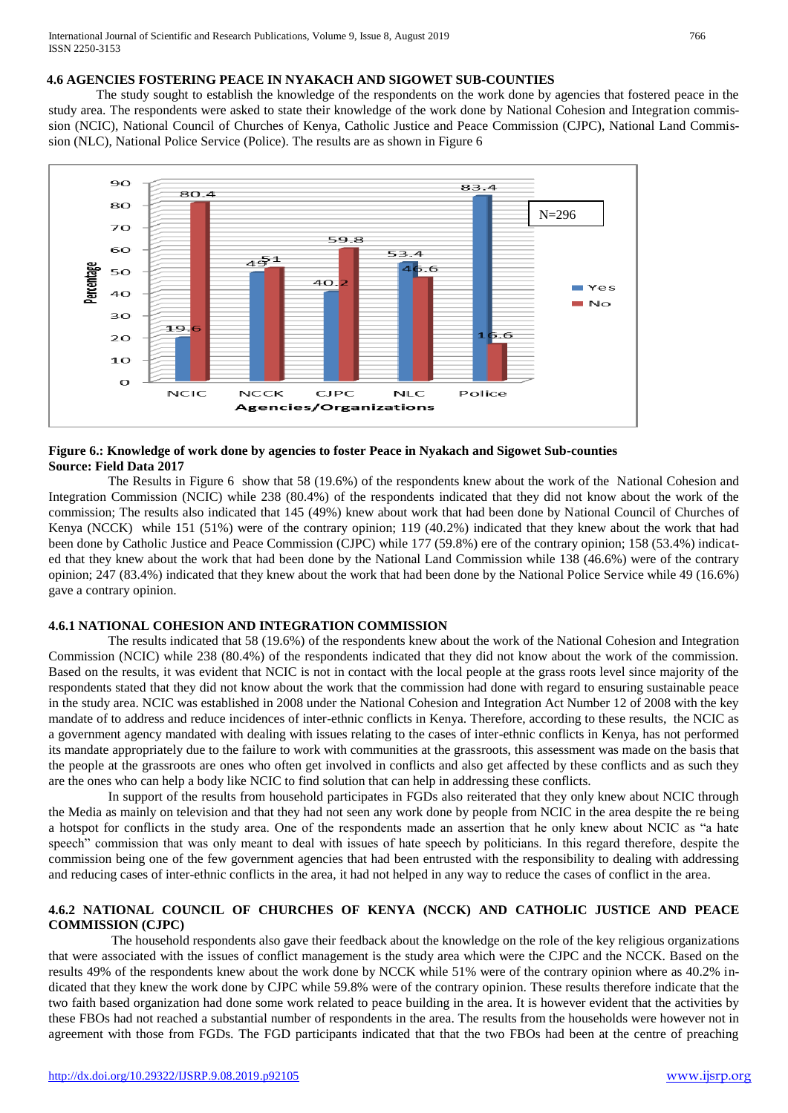# **4.6 AGENCIES FOSTERING PEACE IN NYAKACH AND SIGOWET SUB-COUNTIES**

The study sought to establish the knowledge of the respondents on the work done by agencies that fostered peace in the study area. The respondents were asked to state their knowledge of the work done by National Cohesion and Integration commission (NCIC), National Council of Churches of Kenya, Catholic Justice and Peace Commission (CJPC), National Land Commission (NLC), National Police Service (Police). The results are as shown in Figure 6



## **Figure 6.: Knowledge of work done by agencies to foster Peace in Nyakach and Sigowet Sub-counties Source: Field Data 2017**

The Results in Figure 6 show that 58 (19.6%) of the respondents knew about the work of the National Cohesion and Integration Commission (NCIC) while 238 (80.4%) of the respondents indicated that they did not know about the work of the commission; The results also indicated that 145 (49%) knew about work that had been done by National Council of Churches of Kenya (NCCK) while 151 (51%) were of the contrary opinion; 119 (40.2%) indicated that they knew about the work that had been done by Catholic Justice and Peace Commission (CJPC) while 177 (59.8%) ere of the contrary opinion; 158 (53.4%) indicated that they knew about the work that had been done by the National Land Commission while 138 (46.6%) were of the contrary opinion; 247 (83.4%) indicated that they knew about the work that had been done by the National Police Service while 49 (16.6%) gave a contrary opinion.

## **4.6.1 NATIONAL COHESION AND INTEGRATION COMMISSION**

The results indicated that 58 (19.6%) of the respondents knew about the work of the National Cohesion and Integration Commission (NCIC) while 238 (80.4%) of the respondents indicated that they did not know about the work of the commission. Based on the results, it was evident that NCIC is not in contact with the local people at the grass roots level since majority of the respondents stated that they did not know about the work that the commission had done with regard to ensuring sustainable peace in the study area. NCIC was established in 2008 under the National Cohesion and Integration Act Number 12 of 2008 with the key mandate of to address and reduce incidences of inter-ethnic conflicts in Kenya. Therefore, according to these results, the NCIC as a government agency mandated with dealing with issues relating to the cases of inter-ethnic conflicts in Kenya, has not performed its mandate appropriately due to the failure to work with communities at the grassroots, this assessment was made on the basis that the people at the grassroots are ones who often get involved in conflicts and also get affected by these conflicts and as such they are the ones who can help a body like NCIC to find solution that can help in addressing these conflicts.

In support of the results from household participates in FGDs also reiterated that they only knew about NCIC through the Media as mainly on television and that they had not seen any work done by people from NCIC in the area despite the re being a hotspot for conflicts in the study area. One of the respondents made an assertion that he only knew about NCIC as "a hate speech" commission that was only meant to deal with issues of hate speech by politicians. In this regard therefore, despite the commission being one of the few government agencies that had been entrusted with the responsibility to dealing with addressing and reducing cases of inter-ethnic conflicts in the area, it had not helped in any way to reduce the cases of conflict in the area.

# **4.6.2 NATIONAL COUNCIL OF CHURCHES OF KENYA (NCCK) AND CATHOLIC JUSTICE AND PEACE COMMISSION (CJPC)**

The household respondents also gave their feedback about the knowledge on the role of the key religious organizations that were associated with the issues of conflict management is the study area which were the CJPC and the NCCK. Based on the results 49% of the respondents knew about the work done by NCCK while 51% were of the contrary opinion where as 40.2% indicated that they knew the work done by CJPC while 59.8% were of the contrary opinion. These results therefore indicate that the two faith based organization had done some work related to peace building in the area. It is however evident that the activities by these FBOs had not reached a substantial number of respondents in the area. The results from the households were however not in agreement with those from FGDs. The FGD participants indicated that that the two FBOs had been at the centre of preaching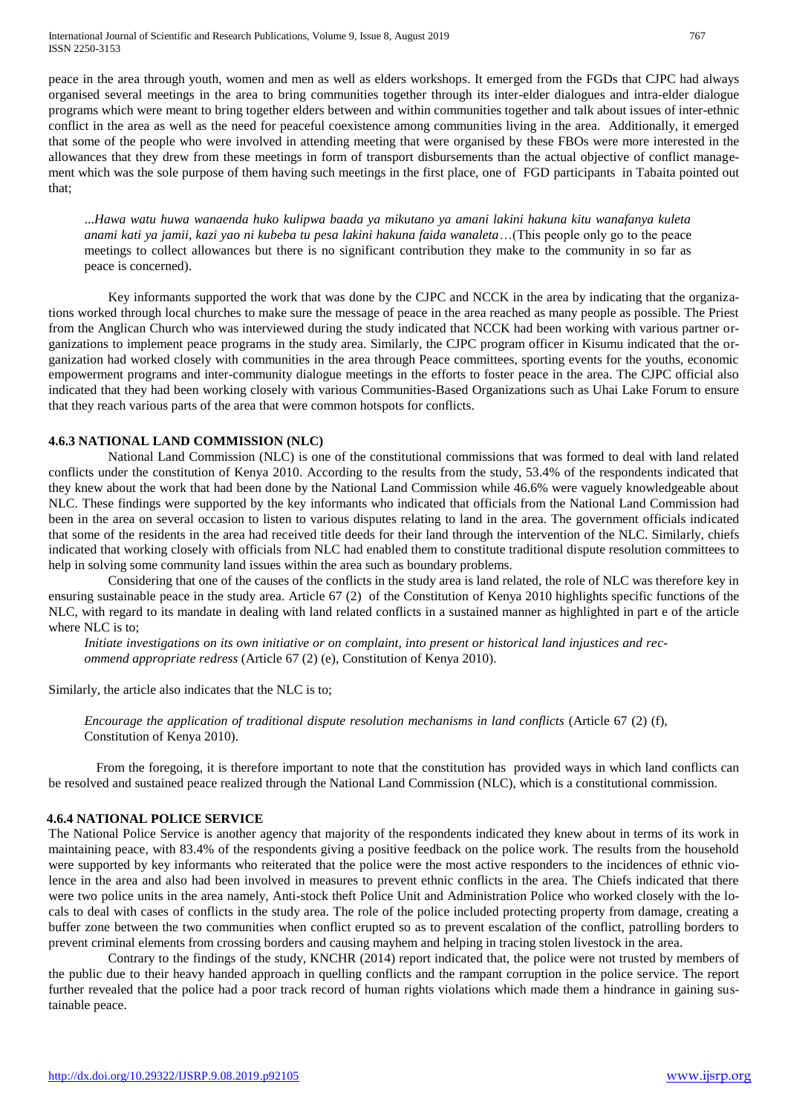International Journal of Scientific and Research Publications, Volume 9, Issue 8, August 2019 767 ISSN 2250-3153

peace in the area through youth, women and men as well as elders workshops. It emerged from the FGDs that CJPC had always organised several meetings in the area to bring communities together through its inter-elder dialogues and intra-elder dialogue programs which were meant to bring together elders between and within communities together and talk about issues of inter-ethnic conflict in the area as well as the need for peaceful coexistence among communities living in the area. Additionally, it emerged that some of the people who were involved in attending meeting that were organised by these FBOs were more interested in the allowances that they drew from these meetings in form of transport disbursements than the actual objective of conflict management which was the sole purpose of them having such meetings in the first place, one of FGD participants in Tabaita pointed out that;

...*Hawa watu huwa wanaenda huko kulipwa baada ya mikutano ya amani lakini hakuna kitu wanafanya kuleta anami kati ya jamii, kazi yao ni kubeba tu pesa lakini hakuna faida wanaleta*…(This people only go to the peace meetings to collect allowances but there is no significant contribution they make to the community in so far as peace is concerned).

Key informants supported the work that was done by the CJPC and NCCK in the area by indicating that the organizations worked through local churches to make sure the message of peace in the area reached as many people as possible. The Priest from the Anglican Church who was interviewed during the study indicated that NCCK had been working with various partner organizations to implement peace programs in the study area. Similarly, the CJPC program officer in Kisumu indicated that the organization had worked closely with communities in the area through Peace committees, sporting events for the youths, economic empowerment programs and inter-community dialogue meetings in the efforts to foster peace in the area. The CJPC official also indicated that they had been working closely with various Communities-Based Organizations such as Uhai Lake Forum to ensure that they reach various parts of the area that were common hotspots for conflicts.

## **4.6.3 NATIONAL LAND COMMISSION (NLC)**

National Land Commission (NLC) is one of the constitutional commissions that was formed to deal with land related conflicts under the constitution of Kenya 2010. According to the results from the study, 53.4% of the respondents indicated that they knew about the work that had been done by the National Land Commission while 46.6% were vaguely knowledgeable about NLC. These findings were supported by the key informants who indicated that officials from the National Land Commission had been in the area on several occasion to listen to various disputes relating to land in the area. The government officials indicated that some of the residents in the area had received title deeds for their land through the intervention of the NLC. Similarly, chiefs indicated that working closely with officials from NLC had enabled them to constitute traditional dispute resolution committees to help in solving some community land issues within the area such as boundary problems.

Considering that one of the causes of the conflicts in the study area is land related, the role of NLC was therefore key in ensuring sustainable peace in the study area. Article 67 (2) of the Constitution of Kenya 2010 highlights specific functions of the NLC, with regard to its mandate in dealing with land related conflicts in a sustained manner as highlighted in part e of the article where NLC is to;

*Initiate investigations on its own initiative or on complaint, into present or historical land injustices and recommend appropriate redress* (Article 67 (2) (e), Constitution of Kenya 2010).

Similarly, the article also indicates that the NLC is to;

*Encourage the application of traditional dispute resolution mechanisms in land conflicts* (Article 67 (2) (f), Constitution of Kenya 2010).

From the foregoing, it is therefore important to note that the constitution has provided ways in which land conflicts can be resolved and sustained peace realized through the National Land Commission (NLC), which is a constitutional commission.

# **4.6.4 NATIONAL POLICE SERVICE**

The National Police Service is another agency that majority of the respondents indicated they knew about in terms of its work in maintaining peace, with 83.4% of the respondents giving a positive feedback on the police work. The results from the household were supported by key informants who reiterated that the police were the most active responders to the incidences of ethnic violence in the area and also had been involved in measures to prevent ethnic conflicts in the area. The Chiefs indicated that there were two police units in the area namely, Anti-stock theft Police Unit and Administration Police who worked closely with the locals to deal with cases of conflicts in the study area. The role of the police included protecting property from damage, creating a buffer zone between the two communities when conflict erupted so as to prevent escalation of the conflict, patrolling borders to prevent criminal elements from crossing borders and causing mayhem and helping in tracing stolen livestock in the area.

Contrary to the findings of the study, KNCHR (2014) report indicated that, the police were not trusted by members of the public due to their heavy handed approach in quelling conflicts and the rampant corruption in the police service. The report further revealed that the police had a poor track record of human rights violations which made them a hindrance in gaining sustainable peace.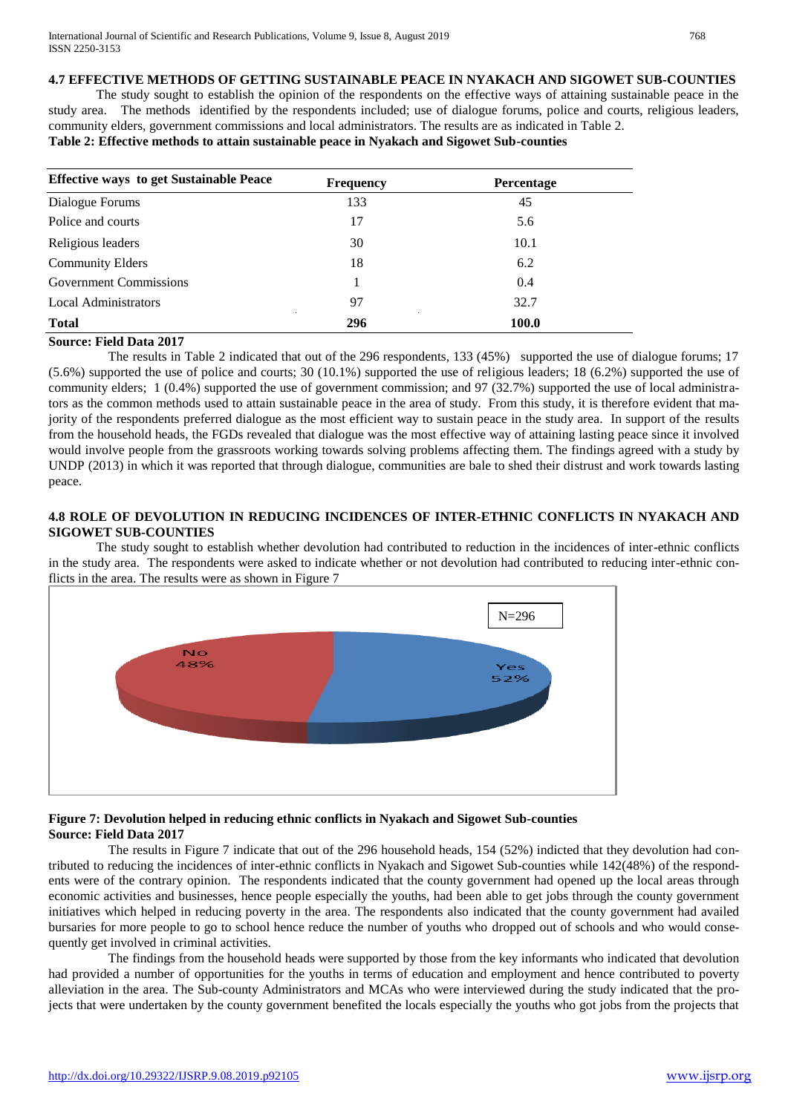# **4.7 EFFECTIVE METHODS OF GETTING SUSTAINABLE PEACE IN NYAKACH AND SIGOWET SUB-COUNTIES**

The study sought to establish the opinion of the respondents on the effective ways of attaining sustainable peace in the study area. The methods identified by the respondents included; use of dialogue forums, police and courts, religious leaders, community elders, government commissions and local administrators. The results are as indicated in Table 2.

# **Table 2: Effective methods to attain sustainable peace in Nyakach and Sigowet Sub-counties**

| <b>Effective ways to get Sustainable Peace</b> | <b>Frequency</b> | <b>Percentage</b> |
|------------------------------------------------|------------------|-------------------|
| Dialogue Forums                                | 133              | 45                |
| Police and courts                              | 17               | 5.6               |
| Religious leaders                              | 30               | 10.1              |
| <b>Community Elders</b>                        | 18               | 6.2               |
| <b>Government Commissions</b>                  |                  | 0.4               |
| <b>Local Administrators</b>                    | 97               | 32.7              |
| <b>Total</b>                                   | 296              | 100.0             |

# **Source: Field Data 2017**

The results in Table 2 indicated that out of the 296 respondents, 133 (45%) supported the use of dialogue forums; 17 (5.6%) supported the use of police and courts; 30 (10.1%) supported the use of religious leaders; 18 (6.2%) supported the use of community elders; 1 (0.4%) supported the use of government commission; and 97 (32.7%) supported the use of local administrators as the common methods used to attain sustainable peace in the area of study. From this study, it is therefore evident that majority of the respondents preferred dialogue as the most efficient way to sustain peace in the study area. In support of the results from the household heads, the FGDs revealed that dialogue was the most effective way of attaining lasting peace since it involved would involve people from the grassroots working towards solving problems affecting them. The findings agreed with a study by UNDP (2013) in which it was reported that through dialogue, communities are bale to shed their distrust and work towards lasting peace.

## **4.8 ROLE OF DEVOLUTION IN REDUCING INCIDENCES OF INTER-ETHNIC CONFLICTS IN NYAKACH AND SIGOWET SUB-COUNTIES**

The study sought to establish whether devolution had contributed to reduction in the incidences of inter-ethnic conflicts in the study area. The respondents were asked to indicate whether or not devolution had contributed to reducing inter-ethnic conflicts in the area. The results were as shown in Figure 7



## **Figure 7: Devolution helped in reducing ethnic conflicts in Nyakach and Sigowet Sub-counties Source: Field Data 2017**

The results in Figure 7 indicate that out of the 296 household heads, 154 (52%) indicted that they devolution had contributed to reducing the incidences of inter-ethnic conflicts in Nyakach and Sigowet Sub-counties while 142(48%) of the respondents were of the contrary opinion. The respondents indicated that the county government had opened up the local areas through economic activities and businesses, hence people especially the youths, had been able to get jobs through the county government initiatives which helped in reducing poverty in the area. The respondents also indicated that the county government had availed bursaries for more people to go to school hence reduce the number of youths who dropped out of schools and who would consequently get involved in criminal activities.

The findings from the household heads were supported by those from the key informants who indicated that devolution had provided a number of opportunities for the youths in terms of education and employment and hence contributed to poverty alleviation in the area. The Sub-county Administrators and MCAs who were interviewed during the study indicated that the projects that were undertaken by the county government benefited the locals especially the youths who got jobs from the projects that